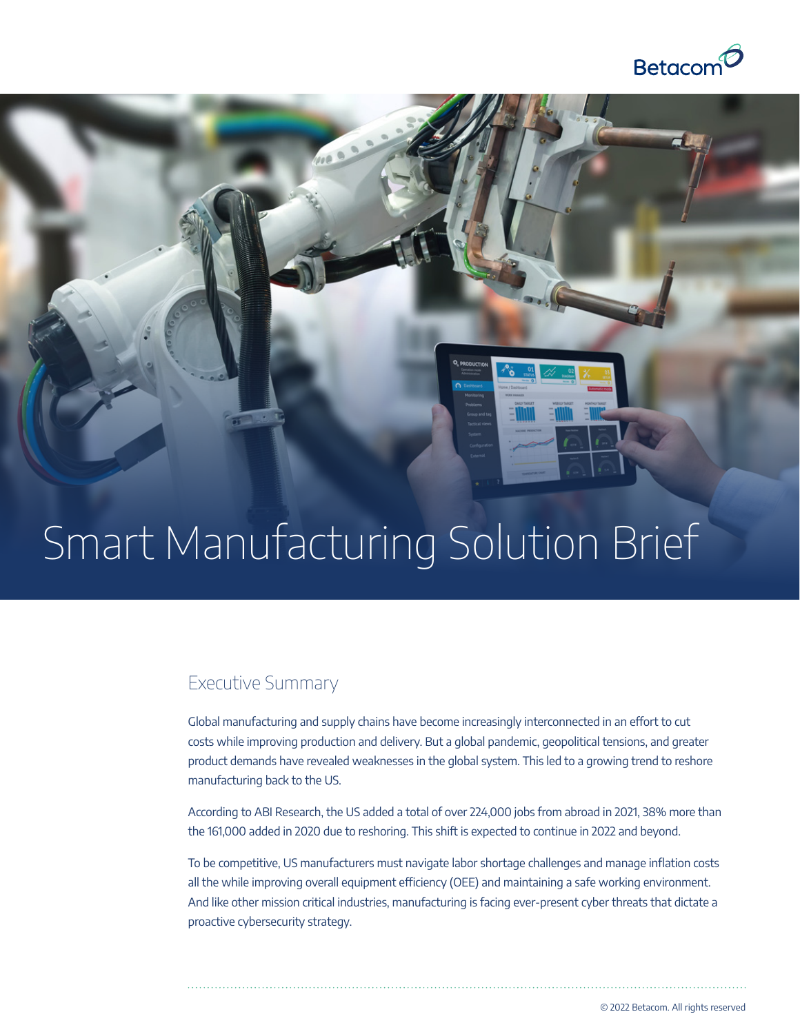

# Smart Manufacturing Solution Brief

## Executive Summary

Global manufacturing and supply chains have become increasingly interconnected in an effort to cut costs while improving production and delivery. But a global pandemic, geopolitical tensions, and greater product demands have revealed weaknesses in the global system. This led to a growing trend to reshore manufacturing back to the US.

According to ABI Research, the US added a total of over 224,000 jobs from abroad in 2021, 38% more than the 161,000 added in 2020 due to reshoring. This shift is expected to continue in 2022 and beyond.

To be competitive, US manufacturers must navigate labor shortage challenges and manage inflation costs all the while improving overall equipment efficiency (OEE) and maintaining a safe working environment. And like other mission critical industries, manufacturing is facing ever-present cyber threats that dictate a proactive cybersecurity strategy.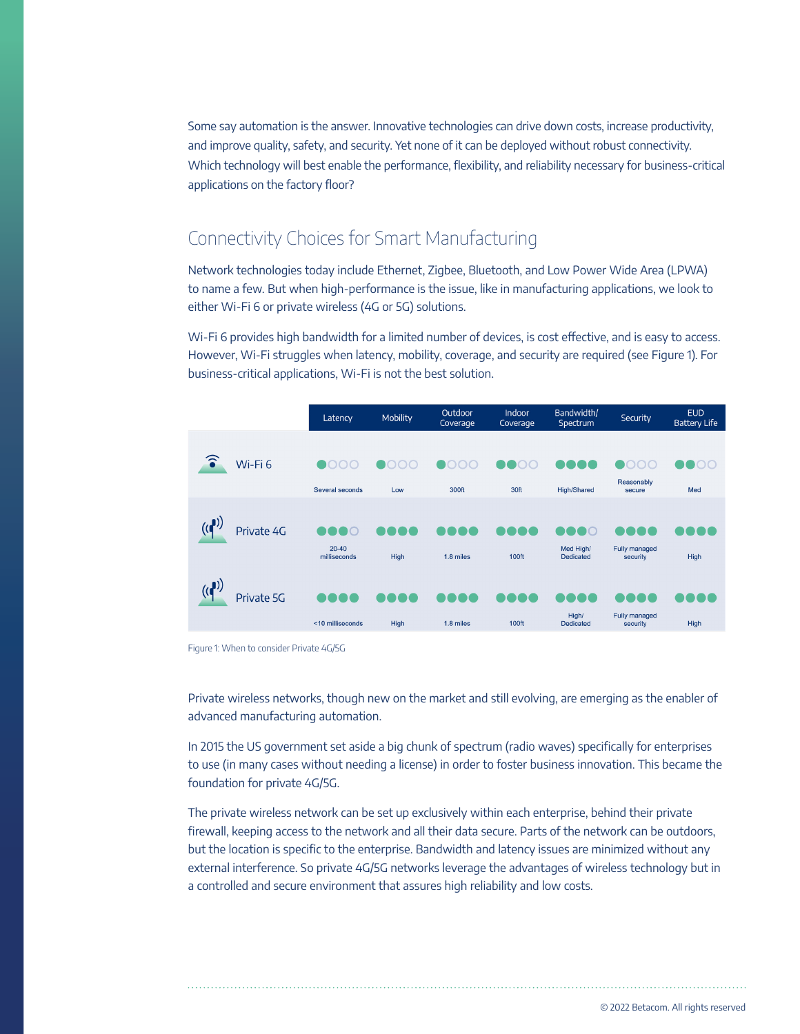Some say automation is the answer. Innovative technologies can drive down costs, increase productivity, and improve quality, safety, and security. Yet none of it can be deployed without robust connectivity. Which technology will best enable the performance, flexibility, and reliability necessary for business-critical applications on the factory floor?

# Connectivity Choices for Smart Manufacturing

Network technologies today include Ethernet, Zigbee, Bluetooth, and Low Power Wide Area (LPWA) to name a few. But when high-performance is the issue, like in manufacturing applications, we look to either Wi-Fi 6 or private wireless (4G or 5G) solutions.

Wi-Fi 6 provides high bandwidth for a limited number of devices, is cost effective, and is easy to access. However, Wi-Fi struggles when latency, mobility, coverage, and security are required (see Figure 1). For business-critical applications, Wi-Fi is not the best solution.

|   |                    | Latency                   | Mobility    | Outdoor<br>Coverage | Indoor<br>Coverage | Bandwidth/<br>Spectrum        | Security                         | <b>EUD</b><br><b>Battery Life</b> |
|---|--------------------|---------------------------|-------------|---------------------|--------------------|-------------------------------|----------------------------------|-----------------------------------|
| ົ | Wi-Fi <sub>6</sub> | Several seconds           | Low         | 300ft               | 30ft               | <b>High/Shared</b>            | OOC<br>Reasonably<br>secure      | $\overline{O}$<br>Med             |
|   | Private 4G         | $20 - 40$<br>milliseconds | High        | 1.8 miles           | 100ft              | Med High/<br><b>Dedicated</b> | Fully managed<br>security        | <b>High</b>                       |
|   | Private 5G         | <10 milliseconds          | <b>High</b> | 1.8 miles           | 100ft              | High/<br><b>Dedicated</b>     | <b>Fully managed</b><br>security | <b>High</b>                       |

Figure 1: When to consider Private 4G/5G

Private wireless networks, though new on the market and still evolving, are emerging as the enabler of advanced manufacturing automation.

In 2015 the US government set aside a big chunk of spectrum (radio waves) specifically for enterprises to use (in many cases without needing a license) in order to foster business innovation. This became the foundation for private 4G/5G.

The private wireless network can be set up exclusively within each enterprise, behind their private firewall, keeping access to the network and all their data secure. Parts of the network can be outdoors, but the location is specific to the enterprise. Bandwidth and latency issues are minimized without any external interference. So private 4G/5G networks leverage the advantages of wireless technology but in a controlled and secure environment that assures high reliability and low costs.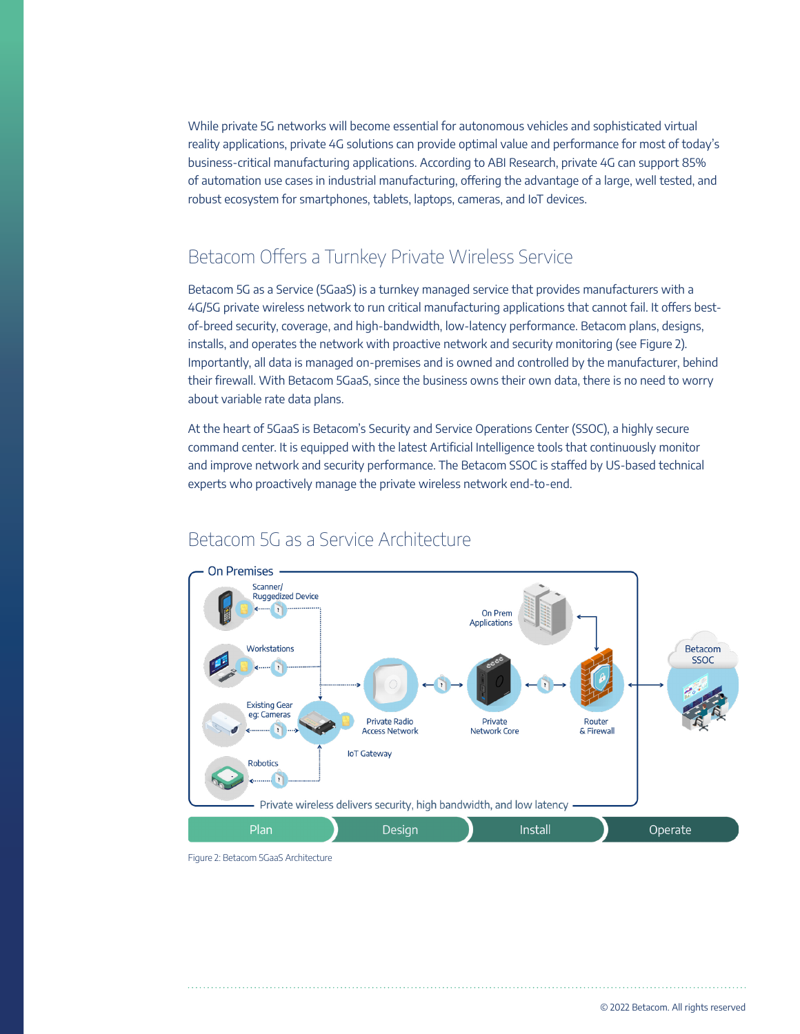While private 5G networks will become essential for autonomous vehicles and sophisticated virtual reality applications, private 4G solutions can provide optimal value and performance for most of today's business-critical manufacturing applications. According to ABI Research, private 4G can support 85% of automation use cases in industrial manufacturing, offering the advantage of a large, well tested, and robust ecosystem for smartphones, tablets, laptops, cameras, and IoT devices.

## Betacom Offers a Turnkey Private Wireless Service

Betacom 5G as a Service (5GaaS) is a turnkey managed service that provides manufacturers with a 4G/5G private wireless network to run critical manufacturing applications that cannot fail. It offers bestof-breed security, coverage, and high-bandwidth, low-latency performance. Betacom plans, designs, installs, and operates the network with proactive network and security monitoring (see Figure 2). Importantly, all data is managed on-premises and is owned and controlled by the manufacturer, behind their firewall. With Betacom 5GaaS, since the business owns their own data, there is no need to worry about variable rate data plans.

At the heart of 5GaaS is Betacom's Security and Service Operations Center (SSOC), a highly secure command center. It is equipped with the latest Artificial Intelligence tools that continuously monitor and improve network and security performance. The Betacom SSOC is staffed by US-based technical experts who proactively manage the private wireless network end-to-end.



## Betacom 5G as a Service Architecture

Figure 2: Betacom 5GaaS Architecture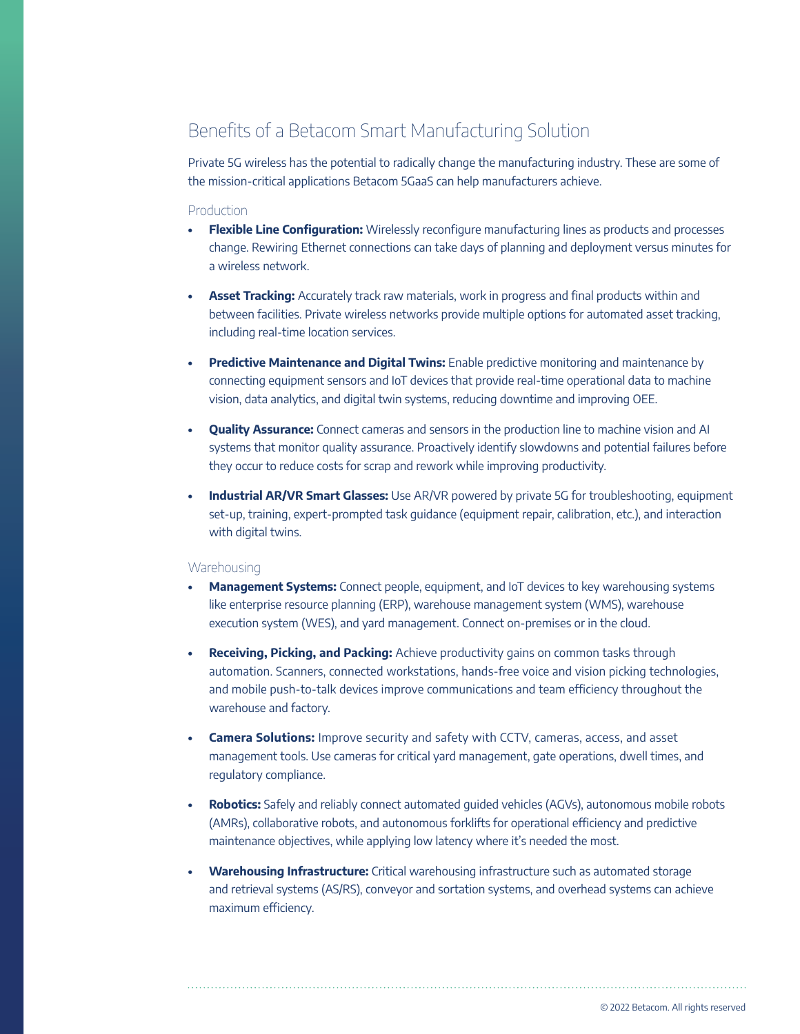# Benefits of a Betacom Smart Manufacturing Solution

Private 5G wireless has the potential to radically change the manufacturing industry. These are some of the mission-critical applications Betacom 5GaaS can help manufacturers achieve.

#### Production

- **• Flexible Line Configuration:** Wirelessly reconfigure manufacturing lines as products and processes change. Rewiring Ethernet connections can take days of planning and deployment versus minutes for a wireless network.
- **• Asset Tracking:** Accurately track raw materials, work in progress and final products within and between facilities. Private wireless networks provide multiple options for automated asset tracking, including real-time location services.
- **• Predictive Maintenance and Digital Twins:** Enable predictive monitoring and maintenance by connecting equipment sensors and IoT devices that provide real-time operational data to machine vision, data analytics, and digital twin systems, reducing downtime and improving OEE.
- **• Quality Assurance:** Connect cameras and sensors in the production line to machine vision and AI systems that monitor quality assurance. Proactively identify slowdowns and potential failures before they occur to reduce costs for scrap and rework while improving productivity.
- **• Industrial AR/VR Smart Glasses:** Use AR/VR powered by private 5G for troubleshooting, equipment set-up, training, expert-prompted task guidance (equipment repair, calibration, etc.), and interaction with digital twins.

#### **Warehousing**

- **• Management Systems:** Connect people, equipment, and IoT devices to key warehousing systems like enterprise resource planning (ERP), warehouse management system (WMS), warehouse execution system (WES), and yard management. Connect on-premises or in the cloud.
- **• Receiving, Picking, and Packing:** Achieve productivity gains on common tasks through automation. Scanners, connected workstations, hands-free voice and vision picking technologies, and mobile push-to-talk devices improve communications and team efficiency throughout the warehouse and factory.
- **• Camera Solutions:** Improve security and safety with CCTV, cameras, access, and asset management tools. Use cameras for critical yard management, gate operations, dwell times, and regulatory compliance.
- **• Robotics:** Safely and reliably connect automated guided vehicles (AGVs), autonomous mobile robots (AMRs), collaborative robots, and autonomous forklifts for operational efficiency and predictive maintenance objectives, while applying low latency where it's needed the most.
- **• Warehousing Infrastructure:** Critical warehousing infrastructure such as automated storage and retrieval systems (AS/RS), conveyor and sortation systems, and overhead systems can achieve maximum efficiency.